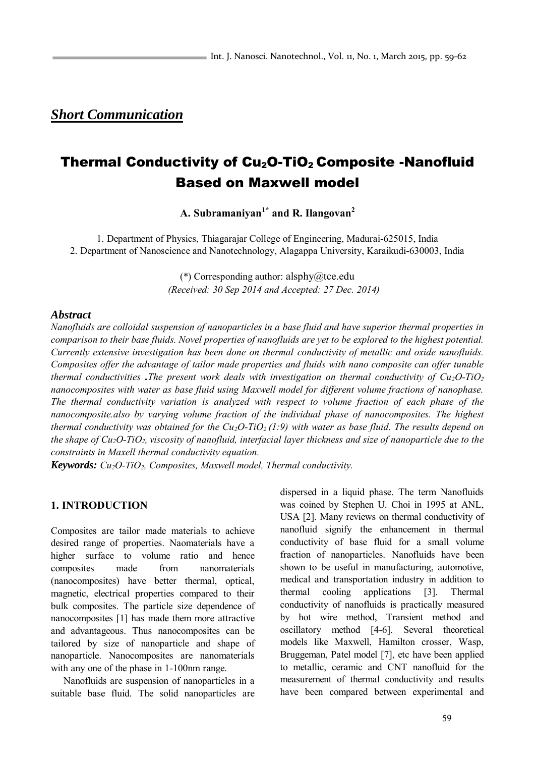## *Short Communication*

# Thermal Conductivity of Cu<sub>2</sub>O-TiO<sub>2</sub> Composite -Nanofluid Based on Maxwell model

**A. Subramaniyan1\* and R. Ilangovan<sup>2</sup>**

1. Department of Physics, Thiagarajar College of Engineering, Madurai-625015, India 2. Department of Nanoscience and Nanotechnology, Alagappa University, Karaikudi-630003, India

> (\*) Corresponding author: alsphy $@$ tce.edu *(Received: 30 Sep 2014 and Accepted: 27 Dec. 2014)*

#### *Abstract*

*Nanofluids are colloidal suspension of nanoparticles in a base fluid and have superior thermal properties in comparison to their base fluids. Novel properties of nanofluids are yet to be explored to the highest potential. Currently extensive investigation has been done on thermal conductivity of metallic and oxide nanofluids. Composites offer the advantage of tailor made properties and fluids with nano composite can offer tunable thermal conductivities .The present work deals with investigation on thermal conductivity of Cu2O-TiO<sup>2</sup> nanocomposites with water as base fluid using Maxwell model for different volume fractions of nanophase. The thermal conductivity variation is analyzed with respect to volume fraction of each phase of the nanocomposite.also by varying volume fraction of the individual phase of nanocomposites. The highest thermal conductivity was obtained for the Cu2O-TiO2 (1:9) with water as base fluid. The results depend on the shape of Cu2O-TiO2, viscosity of nanofluid, interfacial layer thickness and size of nanoparticle due to the constraints in Maxell thermal conductivity equation.* 

*Keywords: Cu2O-TiO2, Composites, Maxwell model, Thermal conductivity.* 

### **1. INTRODUCTION**

Composites are tailor made materials to achieve desired range of properties. Naomaterials have a higher surface to volume ratio and hence composites made from nanomaterials (nanocomposites) have better thermal, optical, magnetic, electrical properties compared to their bulk composites. The particle size dependence of nanocomposites [1] has made them more attractive and advantageous. Thus nanocomposites can be tailored by size of nanoparticle and shape of nanoparticle. Nanocomposites are nanomaterials with any one of the phase in 1-100nm range.

Nanofluids are suspension of nanoparticles in a suitable base fluid. The solid nanoparticles are dispersed in a liquid phase. The term Nanofluids was coined by Stephen U. Choi in 1995 at ANL, USA [2]. Many reviews on thermal conductivity of nanofluid signify the enhancement in thermal conductivity of base fluid for a small volume fraction of nanoparticles. Nanofluids have been shown to be useful in manufacturing, automotive, medical and transportation industry in addition to thermal cooling applications [3]. Thermal conductivity of nanofluids is practically measured by hot wire method, Transient method and oscillatory method [4-6]. Several theoretical models like Maxwell, Hamilton crosser, Wasp, Bruggeman, Patel model [7], etc have been applied to metallic, ceramic and CNT nanofluid for the measurement of thermal conductivity and results have been compared between experimental and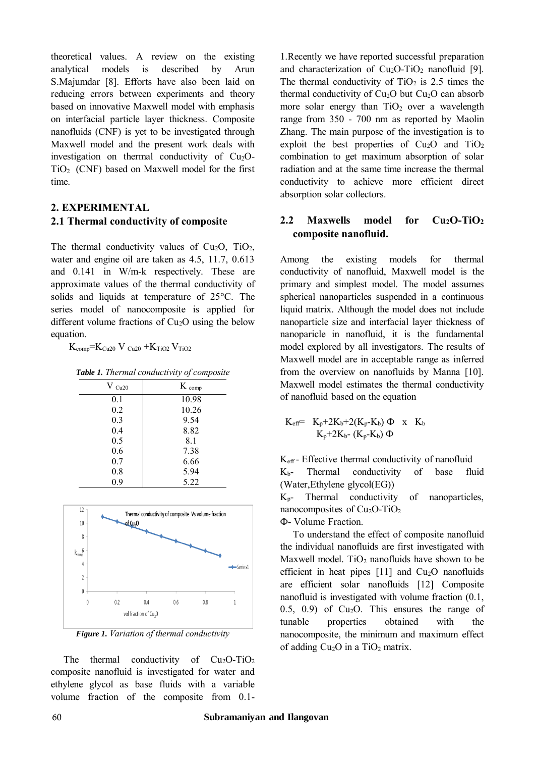theoretical values. A review on the existing analytical models is described by Arun S.Majumdar [8]. Efforts have also been laid on reducing errors between experiments and theory based on innovative Maxwell model with emphasis on interfacial particle layer thickness. Composite nanofluids (CNF) is yet to be investigated through Maxwell model and the present work deals with investigation on thermal conductivity of  $Cu<sub>2</sub>O TiO<sub>2</sub>$  (CNF) based on Maxwell model for the first time.

### **2. EXPERIMENTAL 2.1 Thermal conductivity of composite**

The thermal conductivity values of  $Cu<sub>2</sub>O$ ,  $TiO<sub>2</sub>$ , water and engine oil are taken as 4.5, 11.7, 0.613 and 0.141 in W/m-k respectively. These are approximate values of the thermal conductivity of solids and liquids at temperature of 25°C. The series model of nanocomposite is applied for different volume fractions of  $Cu<sub>2</sub>O$  using the below equation.

 $K_{\text{comp}}=K_{\text{Cu20}} V_{\text{Cu20}} + K_{\text{TiO2}} V_{\text{TiO2}}$ 

*Table 1. Thermal conductivity of composite* 

| $V_{Cu20}$ | $K_{comp}$ |
|------------|------------|
| 0.1        | 10.98      |
| 0.2        | 10.26      |
| 0.3        | 9.54       |
| 0.4        | 8.82       |
| 0.5        | 8.1        |
| 0.6        | 7.38       |
| 0.7        | 6.66       |
| 0.8        | 5.94       |
| 0.9        | 5.22       |



*Figure 1. Variation of thermal conductivity* 

The thermal conductivity of  $Cu<sub>2</sub>O-TiO<sub>2</sub>$ composite nanofluid is investigated for water and ethylene glycol as base fluids with a variable volume fraction of the composite from 0.11.Recently we have reported successful preparation and characterization of  $Cu<sub>2</sub>O-TiO<sub>2</sub>$  nanofluid [9]. The thermal conductivity of  $TiO<sub>2</sub>$  is 2.5 times the thermal conductivity of  $Cu<sub>2</sub>O$  but  $Cu<sub>2</sub>O$  can absorb more solar energy than  $TiO<sub>2</sub>$  over a wavelength range from 350 - 700 nm as reported by Maolin Zhang. The main purpose of the investigation is to exploit the best properties of  $Cu<sub>2</sub>O$  and  $TiO<sub>2</sub>$ combination to get maximum absorption of solar radiation and at the same time increase the thermal conductivity to achieve more efficient direct absorption solar collectors.

### **2.2 Maxwells model for Cu2O-TiO<sup>2</sup> composite nanofluid.**

Among the existing models for thermal conductivity of nanofluid, Maxwell model is the primary and simplest model. The model assumes spherical nanoparticles suspended in a continuous liquid matrix. Although the model does not include nanoparticle size and interfacial layer thickness of nanoparicle in nanofluid, it is the fundamental model explored by all investigators. The results of Maxwell model are in acceptable range as inferred from the overview on nanofluids by Manna [10]. Maxwell model estimates the thermal conductivity of nanofluid based on the equation

$$
\begin{array}{lll} K_{eff} = & K_p + 2 K_b + 2 (K_p - K_b) \; \Phi & x & K_b \\ & & K_p + 2 K_{b^-} \left( K_p - K_b \right) \; \Phi \end{array}
$$

Keff - Effective thermal conductivity of nanofluid Kb- Thermal conductivity of base fluid (Water,Ethylene glycol(EG))

Kp- Thermal conductivity of nanoparticles, nanocomposites of  $Cu<sub>2</sub>O-TiO<sub>2</sub>$ Ф- Volume Fraction.

To understand the effect of composite nanofluid the individual nanofluids are first investigated with Maxwell model.  $TiO<sub>2</sub>$  nanofluids have shown to be efficient in heat pipes  $[11]$  and  $Cu<sub>2</sub>O$  nanofluids are efficient solar nanofluids [12] Composite nanofluid is investigated with volume fraction (0.1,  $(0.5, 0.9)$  of Cu<sub>2</sub>O. This ensures the range of tunable properties obtained with the nanocomposite, the minimum and maximum effect of adding  $Cu<sub>2</sub>O$  in a TiO<sub>2</sub> matrix.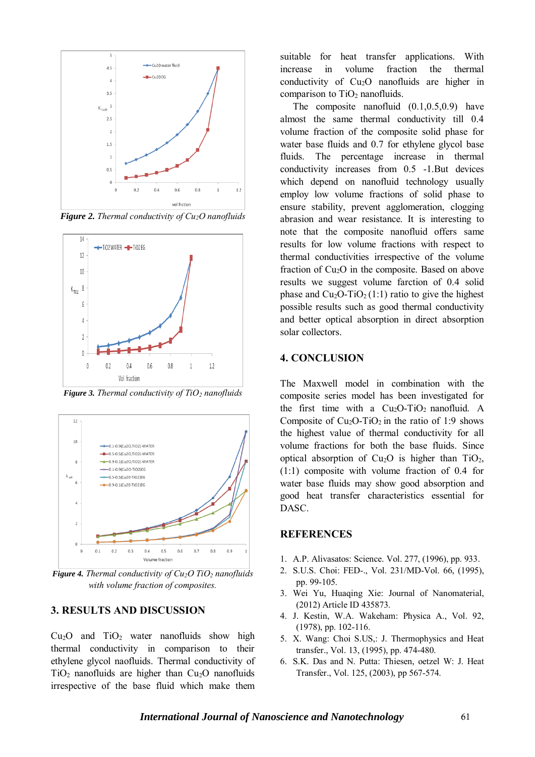

*Figure 2. Thermal conductivity of Cu2O nanofluids* 



*Figure 3. Thermal conductivity of TiO2 nanofluids* 



*Figure 4. Thermal conductivity of Cu2O TiO2 nanofluids with volume fraction of composites.* 

### **3. RESULTS AND DISCUSSION**

 $Cu<sub>2</sub>O$  and  $TiO<sub>2</sub>$  water nanofluids show high thermal conductivity in comparison to their ethylene glycol naofluids. Thermal conductivity of  $TiO<sub>2</sub>$  nanofluids are higher than  $Cu<sub>2</sub>O$  nanofluids irrespective of the base fluid which make them suitable for heat transfer applications. With increase in volume fraction the thermal conductivity of Cu2O nanofluids are higher in comparison to  $TiO<sub>2</sub>$  nanofluids.

The composite nanofluid (0.1,0.5,0.9) have almost the same thermal conductivity till 0.4 volume fraction of the composite solid phase for water base fluids and 0.7 for ethylene glycol base fluids. The percentage increase in thermal conductivity increases from 0.5 -1.But devices which depend on nanofluid technology usually employ low volume fractions of solid phase to ensure stability, prevent agglomeration, clogging abrasion and wear resistance. It is interesting to note that the composite nanofluid offers same results for low volume fractions with respect to thermal conductivities irrespective of the volume fraction of Cu2O in the composite. Based on above results we suggest volume farction of 0.4 solid phase and  $Cu<sub>2</sub>O-TiO<sub>2</sub>(1:1)$  ratio to give the highest possible results such as good thermal conductivity and better optical absorption in direct absorption solar collectors.

### **4. CONCLUSION**

The Maxwell model in combination with the composite series model has been investigated for the first time with a  $Cu<sub>2</sub>O-TiO<sub>2</sub>$  nanofluid. A Composite of  $Cu<sub>2</sub>O-TiO<sub>2</sub>$  in the ratio of 1:9 shows the highest value of thermal conductivity for all volume fractions for both the base fluids. Since optical absorption of  $Cu<sub>2</sub>O$  is higher than  $TiO<sub>2</sub>$ , (1:1) composite with volume fraction of 0.4 for water base fluids may show good absorption and good heat transfer characteristics essential for DASC.

#### **REFERENCES**

- 1. A.P. Alivasatos: Science. Vol. 277, (1996), pp. 933.
- 2. S.U.S. Choi: FED-., Vol. 231/MD-Vol. 66, (1995), pp. 99-105.
- 3. Wei Yu, Huaqing Xie: Journal of Nanomaterial, (2012) Article ID 435873.
- 4. J. Kestin, W.A. Wakeham: Physica A., Vol. 92, (1978), pp. 102-116.
- 5. X. Wang: Choi S.US,: J. Thermophysics and Heat transfer., Vol. 13, (1995), pp. 474-480.
- 6. S.K. Das and N. Putta: Thiesen, oetzel W: J. Heat Transfer., Vol. 125, (2003), pp 567-574.